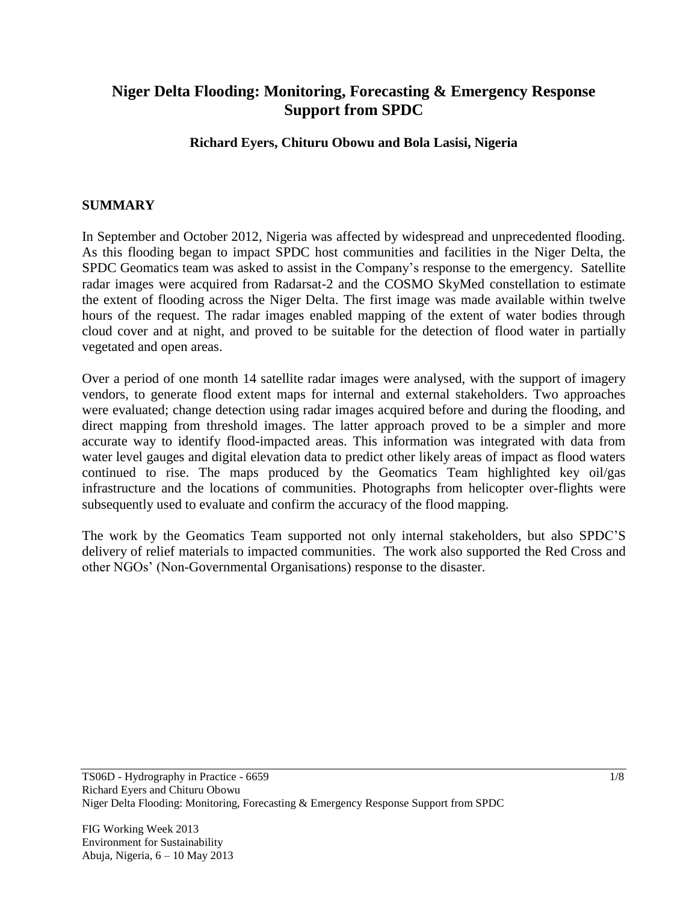# **Niger Delta Flooding: Monitoring, Forecasting & Emergency Response Support from SPDC**

## **Richard Eyers, Chituru Obowu and Bola Lasisi, Nigeria**

### **SUMMARY**

In September and October 2012, Nigeria was affected by widespread and unprecedented flooding. As this flooding began to impact SPDC host communities and facilities in the Niger Delta, the SPDC Geomatics team was asked to assist in the Company's response to the emergency. Satellite radar images were acquired from Radarsat-2 and the COSMO SkyMed constellation to estimate the extent of flooding across the Niger Delta. The first image was made available within twelve hours of the request. The radar images enabled mapping of the extent of water bodies through cloud cover and at night, and proved to be suitable for the detection of flood water in partially vegetated and open areas.

Over a period of one month 14 satellite radar images were analysed, with the support of imagery vendors, to generate flood extent maps for internal and external stakeholders. Two approaches were evaluated; change detection using radar images acquired before and during the flooding, and direct mapping from threshold images. The latter approach proved to be a simpler and more accurate way to identify flood-impacted areas. This information was integrated with data from water level gauges and digital elevation data to predict other likely areas of impact as flood waters continued to rise. The maps produced by the Geomatics Team highlighted key oil/gas infrastructure and the locations of communities. Photographs from helicopter over-flights were subsequently used to evaluate and confirm the accuracy of the flood mapping.

The work by the Geomatics Team supported not only internal stakeholders, but also SPDC'S delivery of relief materials to impacted communities. The work also supported the Red Cross and other NGOs' (Non-Governmental Organisations) response to the disaster.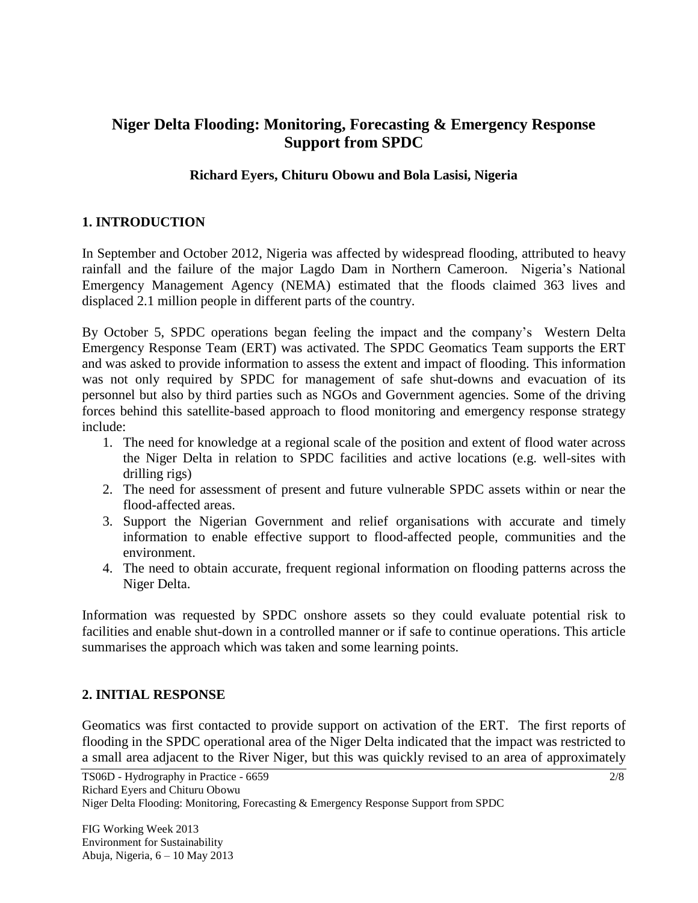# **Niger Delta Flooding: Monitoring, Forecasting & Emergency Response Support from SPDC**

## **Richard Eyers, Chituru Obowu and Bola Lasisi, Nigeria**

## **1. INTRODUCTION**

In September and October 2012, Nigeria was affected by widespread flooding, attributed to heavy rainfall and the failure of the major Lagdo Dam in Northern Cameroon. Nigeria's National Emergency Management Agency (NEMA) estimated that the floods claimed 363 lives and displaced 2.1 million people in different parts of the country.

By October 5, SPDC operations began feeling the impact and the company's Western Delta Emergency Response Team (ERT) was activated. The SPDC Geomatics Team supports the ERT and was asked to provide information to assess the extent and impact of flooding. This information was not only required by SPDC for management of safe shut-downs and evacuation of its personnel but also by third parties such as NGOs and Government agencies. Some of the driving forces behind this satellite-based approach to flood monitoring and emergency response strategy include:

- 1. The need for knowledge at a regional scale of the position and extent of flood water across the Niger Delta in relation to SPDC facilities and active locations (e.g. well-sites with drilling rigs)
- 2. The need for assessment of present and future vulnerable SPDC assets within or near the flood-affected areas.
- 3. Support the Nigerian Government and relief organisations with accurate and timely information to enable effective support to flood-affected people, communities and the environment.
- 4. The need to obtain accurate, frequent regional information on flooding patterns across the Niger Delta.

Information was requested by SPDC onshore assets so they could evaluate potential risk to facilities and enable shut-down in a controlled manner or if safe to continue operations. This article summarises the approach which was taken and some learning points.

## **2. INITIAL RESPONSE**

Geomatics was first contacted to provide support on activation of the ERT. The first reports of flooding in the SPDC operational area of the Niger Delta indicated that the impact was restricted to a small area adjacent to the River Niger, but this was quickly revised to an area of approximately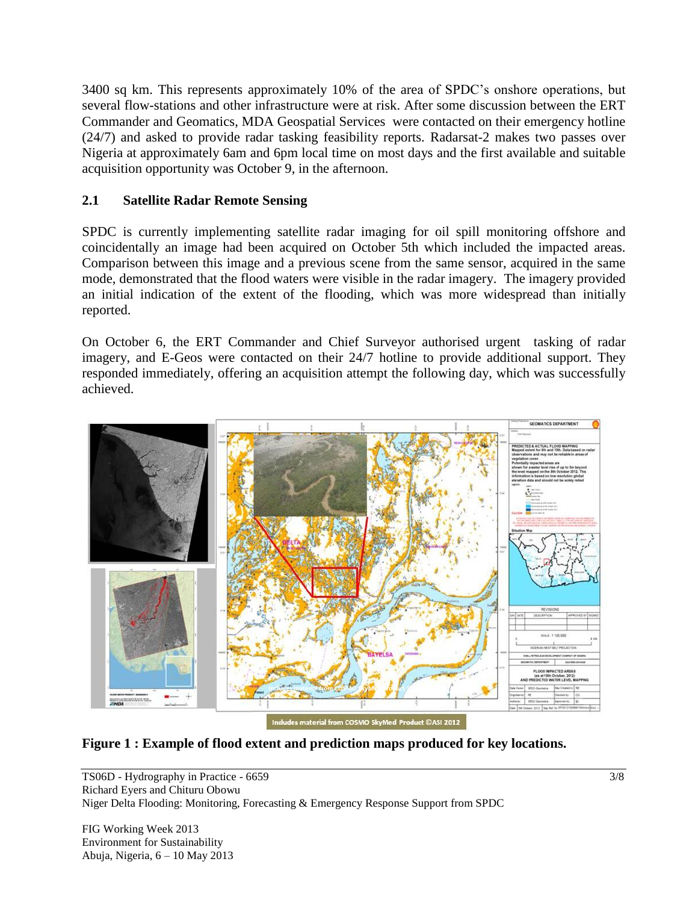3400 sq km. This represents approximately 10% of the area of SPDC's onshore operations, but several flow-stations and other infrastructure were at risk. After some discussion between the ERT Commander and Geomatics, MDA Geospatial Services were contacted on their emergency hotline (24/7) and asked to provide radar tasking feasibility reports. Radarsat-2 makes two passes over Nigeria at approximately 6am and 6pm local time on most days and the first available and suitable acquisition opportunity was October 9, in the afternoon.

## **2.1 Satellite Radar Remote Sensing**

SPDC is currently implementing satellite radar imaging for oil spill monitoring offshore and coincidentally an image had been acquired on October 5th which included the impacted areas. Comparison between this image and a previous scene from the same sensor, acquired in the same mode, demonstrated that the flood waters were visible in the radar imagery. The imagery provided an initial indication of the extent of the flooding, which was more widespread than initially reported.

On October 6, the ERT Commander and Chief Surveyor authorised urgent tasking of radar imagery, and E-Geos were contacted on their 24/7 hotline to provide additional support. They responded immediately, offering an acquisition attempt the following day, which was successfully achieved.



**Figure 1 : Example of flood extent and prediction maps produced for key locations.**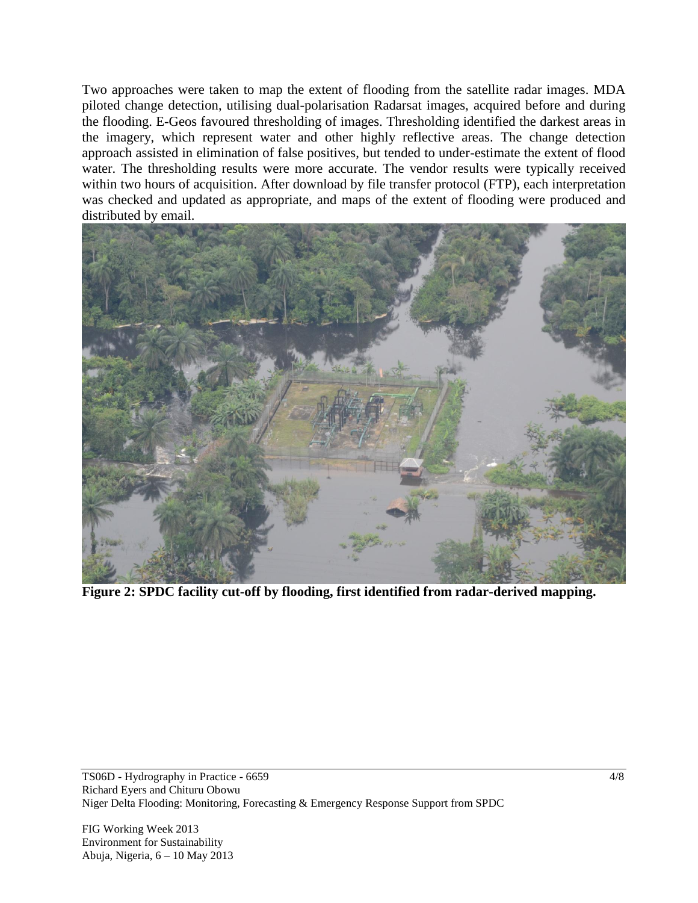Two approaches were taken to map the extent of flooding from the satellite radar images. MDA piloted change detection, utilising dual-polarisation Radarsat images, acquired before and during the flooding. E-Geos favoured thresholding of images. Thresholding identified the darkest areas in the imagery, which represent water and other highly reflective areas. The change detection approach assisted in elimination of false positives, but tended to under-estimate the extent of flood water. The thresholding results were more accurate. The vendor results were typically received within two hours of acquisition. After download by file transfer protocol (FTP), each interpretation was checked and updated as appropriate, and maps of the extent of flooding were produced and distributed by email.



**Figure 2: SPDC facility cut-off by flooding, first identified from radar-derived mapping.**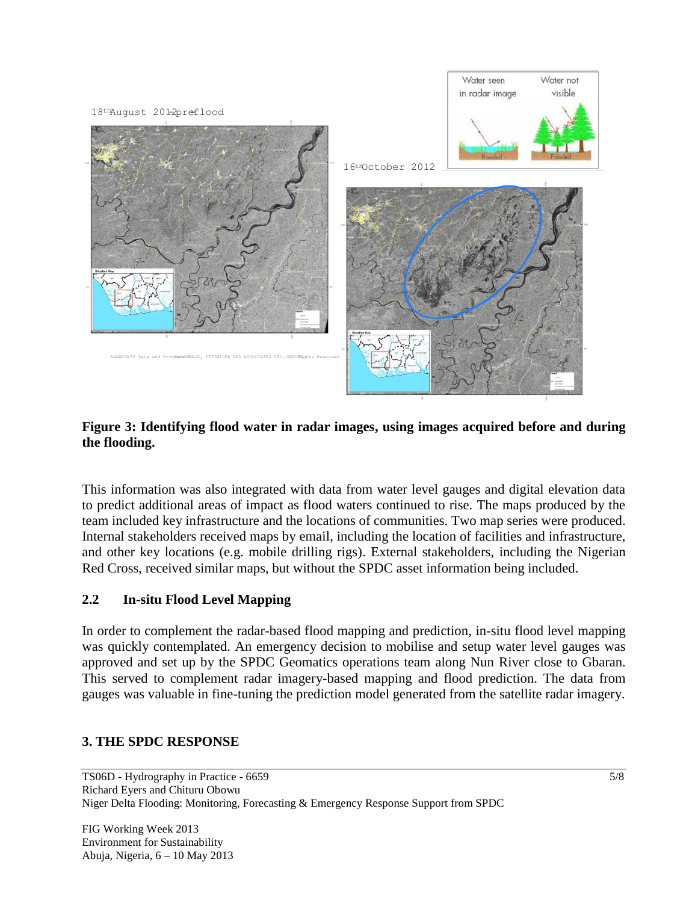

**Figure 3: Identifying flood water in radar images, using images acquired before and during the flooding.** 

This information was also integrated with data from water level gauges and digital elevation data to predict additional areas of impact as flood waters continued to rise. The maps produced by the team included key infrastructure and the locations of communities. Two map series were produced. Internal stakeholders received maps by email, including the location of facilities and infrastructure, and other key locations (e.g. mobile drilling rigs). External stakeholders, including the Nigerian Red Cross, received similar maps, but without the SPDC asset information being included.

## **2.2 In-situ Flood Level Mapping**

In order to complement the radar-based flood mapping and prediction, in-situ flood level mapping was quickly contemplated. An emergency decision to mobilise and setup water level gauges was approved and set up by the SPDC Geomatics operations team along Nun River close to Gbaran. This served to complement radar imagery-based mapping and flood prediction. The data from gauges was valuable in fine-tuning the prediction model generated from the satellite radar imagery.

#### **3. THE SPDC RESPONSE**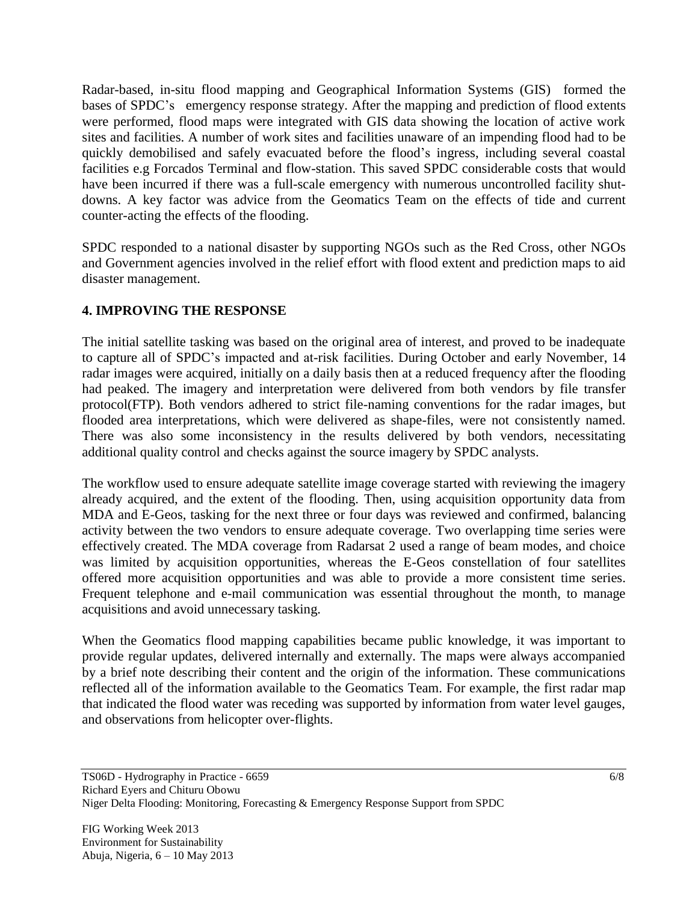Radar-based, in-situ flood mapping and Geographical Information Systems (GIS) formed the bases of SPDC's emergency response strategy. After the mapping and prediction of flood extents were performed, flood maps were integrated with GIS data showing the location of active work sites and facilities. A number of work sites and facilities unaware of an impending flood had to be quickly demobilised and safely evacuated before the flood's ingress, including several coastal facilities e.g Forcados Terminal and flow-station. This saved SPDC considerable costs that would have been incurred if there was a full-scale emergency with numerous uncontrolled facility shutdowns. A key factor was advice from the Geomatics Team on the effects of tide and current counter-acting the effects of the flooding.

SPDC responded to a national disaster by supporting NGOs such as the Red Cross, other NGOs and Government agencies involved in the relief effort with flood extent and prediction maps to aid disaster management.

# **4. IMPROVING THE RESPONSE**

The initial satellite tasking was based on the original area of interest, and proved to be inadequate to capture all of SPDC's impacted and at-risk facilities. During October and early November, 14 radar images were acquired, initially on a daily basis then at a reduced frequency after the flooding had peaked. The imagery and interpretation were delivered from both vendors by file transfer protocol(FTP). Both vendors adhered to strict file-naming conventions for the radar images, but flooded area interpretations, which were delivered as shape-files, were not consistently named. There was also some inconsistency in the results delivered by both vendors, necessitating additional quality control and checks against the source imagery by SPDC analysts.

The workflow used to ensure adequate satellite image coverage started with reviewing the imagery already acquired, and the extent of the flooding. Then, using acquisition opportunity data from MDA and E-Geos, tasking for the next three or four days was reviewed and confirmed, balancing activity between the two vendors to ensure adequate coverage. Two overlapping time series were effectively created. The MDA coverage from Radarsat 2 used a range of beam modes, and choice was limited by acquisition opportunities, whereas the E-Geos constellation of four satellites offered more acquisition opportunities and was able to provide a more consistent time series. Frequent telephone and e-mail communication was essential throughout the month, to manage acquisitions and avoid unnecessary tasking.

When the Geomatics flood mapping capabilities became public knowledge, it was important to provide regular updates, delivered internally and externally. The maps were always accompanied by a brief note describing their content and the origin of the information. These communications reflected all of the information available to the Geomatics Team. For example, the first radar map that indicated the flood water was receding was supported by information from water level gauges, and observations from helicopter over-flights.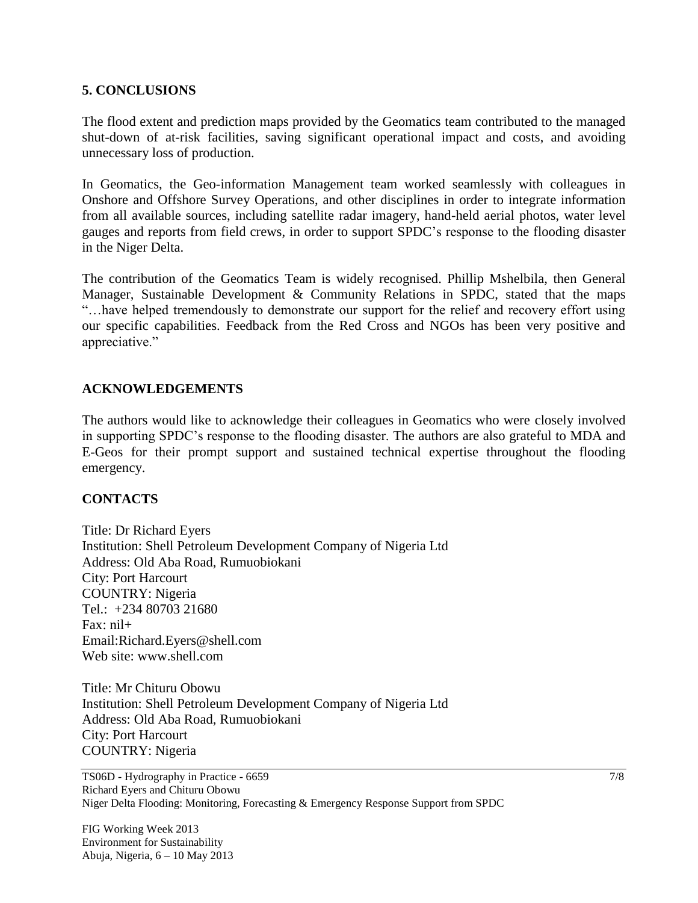### **5. CONCLUSIONS**

The flood extent and prediction maps provided by the Geomatics team contributed to the managed shut-down of at-risk facilities, saving significant operational impact and costs, and avoiding unnecessary loss of production.

In Geomatics, the Geo-information Management team worked seamlessly with colleagues in Onshore and Offshore Survey Operations, and other disciplines in order to integrate information from all available sources, including satellite radar imagery, hand-held aerial photos, water level gauges and reports from field crews, in order to support SPDC's response to the flooding disaster in the Niger Delta.

The contribution of the Geomatics Team is widely recognised. Phillip Mshelbila, then General Manager, Sustainable Development & Community Relations in SPDC, stated that the maps "…have helped tremendously to demonstrate our support for the relief and recovery effort using our specific capabilities. Feedback from the Red Cross and NGOs has been very positive and appreciative."

### **ACKNOWLEDGEMENTS**

The authors would like to acknowledge their colleagues in Geomatics who were closely involved in supporting SPDC's response to the flooding disaster. The authors are also grateful to MDA and E-Geos for their prompt support and sustained technical expertise throughout the flooding emergency.

#### **CONTACTS**

Title: Dr Richard Eyers Institution: Shell Petroleum Development Company of Nigeria Ltd Address: Old Aba Road, Rumuobiokani City: Port Harcourt COUNTRY: Nigeria Tel.: +234 80703 21680  $Fax: nil+$ Email:Richard.Eyers@shell.com Web site: www.shell.com

Title: Mr Chituru Obowu Institution: Shell Petroleum Development Company of Nigeria Ltd Address: Old Aba Road, Rumuobiokani City: Port Harcourt COUNTRY: Nigeria

TS06D - Hydrography in Practice - 6659 Richard Eyers and Chituru Obowu Niger Delta Flooding: Monitoring, Forecasting & Emergency Response Support from SPDC

FIG Working Week 2013 Environment for Sustainability Abuja, Nigeria, 6 – 10 May 2013